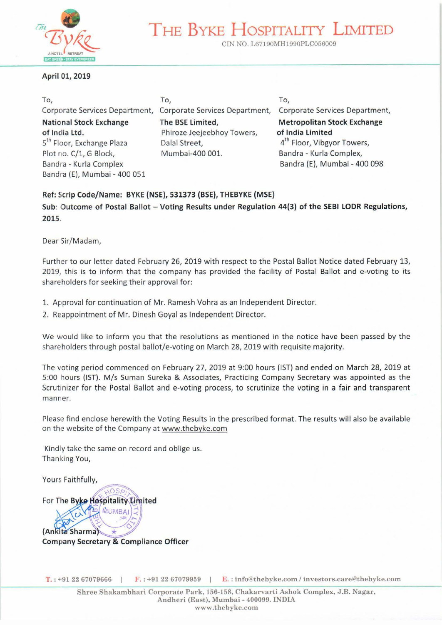

# **THE BYKE HosPITALITY LIMITED**

CIN NO. L67190MH1990PLC056009

#### **April 01, 2019**

To, Corporate Services Department, **National Stock Exchange of India Ltd.**  5<sup>th</sup> Floor, Exchange Plaza Plot no. C/1, G Block, Bandra - Kurla Complex Sandra (E), Mumbai - 400 051

To, Corporate Services Department, **The BSE Limited,**  Phiroze Jeejeebhoy Towers, Dalal Street, Mumbai-400 001.

To, Corporate Services Department, **Metropolitan Stock Exchange of India Limited**  4<sup>th</sup> Floor, Vibgyor Towers, Bandra - Kurla Complex, Bandra (E), Mumbai - 400 098

## **Ref: Scrip Code/Name: BYKE (NSE), 531373 (BSE), THEBYKE (MSE)**

Sub: Outcome of Postal Ballot - Voting Results under Regulation 44(3) of the SEBI LODR Regulations, **2015.** 

Dear Sir/Madam,

Further to our letter dated February 26, 2019 with respect to the Postal Ballot Notice dated February 13, 2019, this is to inform that the company has provided the facility of Postal Ballot and e-voting to its shareholders for seeking their approval for:

- 1. Approval for continuation of Mr. Ramesh Vohra as an Independent Director.
- 2. Reappointment of Mr. Dinesh Goyal as Independent Director.

We would like to inform you that the resolutions as mentioned in the notice have been passed by the shareholders through postal ballot/e-voting on March 28, 2019 with requisite majority.

The voting period commenced on February 27, 2019 at 9:00 hours (1ST) and ended on March 28, 2019 at 5:00 hours (1ST). M/s Suman Sureka & Associates, Practicing Company Secretary was appointed as the Scrutinizer for the Postal Ballot and e-voting process, to scrutinize the voting in a fair and transparent manner.

Please find enclose herewith the Voting Results in the prescribed format. The results will also be available on the website of the Company at www.thebyke.com

Kindly take the same on record and oblige us. Thanking You,

Yours Faithfully,

For The Byke Hospitality Limited MUMRAI (Ankita Sharma) **Company Secretary & Compliance Officer** 

**T.**: +91 22 67079666 F.: +91 22 67079959 E.: info@thebyke.com / investors.care@thebyke.com

Shree Shakambhari Corporate Park, 156-158, Chakarvarti Ashok Complex, J.B. Nagar, Andheri (East), Mumbai- 400099. INDIA www.thebyke.com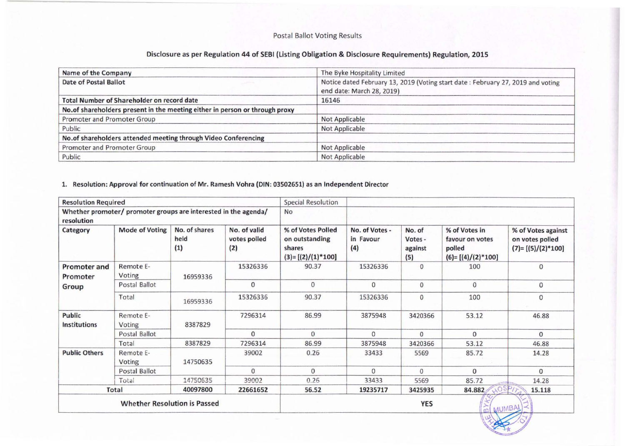### Postal Ballot Voting Results

### Disclosure as per Regulation 44 of SEBI (Listing Obligation & Disclosure Requirements) Regulation, 2015

| Name of the Company                                                          | The Byke Hospitality Limited                                                                                 |
|------------------------------------------------------------------------------|--------------------------------------------------------------------------------------------------------------|
| Date of Postal Ballot                                                        | Notice dated February 13, 2019 (Voting start date: February 27, 2019 and voting<br>end date: March 28, 2019) |
| <b>Total Number of Shareholder on record date</b>                            | 16146                                                                                                        |
| No. of shareholders present in the meeting either in person or through proxy |                                                                                                              |
| Promoter and Promoter Group                                                  | <b>Not Applicable</b>                                                                                        |
| Public                                                                       | <b>Not Applicable</b>                                                                                        |
| No.of shareholders attended meeting through Video Conferencing               |                                                                                                              |
| Promoter and Promoter Group                                                  | Not Applicable                                                                                               |
| Public                                                                       | <b>Not Applicable</b>                                                                                        |

### 1. Resolution: Approval for continuation of Mr. Ramesh Vohra (DIN: 03502651) as an Independent Director

| <b>Resolution Required</b>               |                                                                 |                                     | <b>Special Resolution</b>           |                                                                      |                                    |                                     |                                                                   |                                                              |
|------------------------------------------|-----------------------------------------------------------------|-------------------------------------|-------------------------------------|----------------------------------------------------------------------|------------------------------------|-------------------------------------|-------------------------------------------------------------------|--------------------------------------------------------------|
| resolution                               | Whether promoter/ promoter groups are interested in the agenda/ |                                     |                                     | No                                                                   |                                    |                                     |                                                                   |                                                              |
| Category                                 | <b>Mode of Voting</b>                                           | No. of shares<br>held<br>(1)        | No. of valid<br>votes polled<br>(2) | % of Votes Polled<br>on outstanding<br>shares<br>$(3)=[(2)/(1)*100]$ | No. of Votes -<br>in Favour<br>(4) | No. of<br>Votes -<br>against<br>(5) | % of Votes in<br>favour on votes<br>polled<br>$(6)=[(4)/(2)*100]$ | % of Votes against<br>on votes polled<br>$(7)=[(5)/(2)*100]$ |
| <b>Promoter and</b><br>Promoter<br>Group | Remote E-<br>Voting                                             | 16959336                            | 15326336                            | 90.37                                                                | 15326336                           | $\mathbf{0}$                        | 100                                                               | $\mathbf{O}$                                                 |
|                                          | Postal Ballot                                                   |                                     | $\mathbf{0}$                        | $\mathbf{0}$                                                         | $\mathbf{0}$                       | $\mathbf{0}$                        | 0                                                                 | $\mathbf 0$                                                  |
|                                          | Total                                                           | 16959336                            | 15326336                            | 90.37                                                                | 15326336                           | 0                                   | 100                                                               | $\mathbf{0}$                                                 |
| Public<br><b>Institutions</b>            | Remote E-<br>Voting                                             | 8387829                             | 7296314                             | 86.99                                                                | 3875948                            | 3420366                             | 53.12                                                             | 46.88                                                        |
|                                          | Postal Ballot                                                   |                                     | $\mathbf{0}$                        | $\mathbf{0}$                                                         | $\mathbf{0}$                       | $\mathbf{0}$                        | $\mathbf{0}$                                                      | $\Omega$                                                     |
|                                          | Total                                                           | 8387829                             | 7296314                             | 86.99                                                                | 3875948                            | 3420366                             | 53.12                                                             | 46.88                                                        |
| <b>Public Others</b>                     | Remote E-<br>Voting                                             | 14750635                            | 39002                               | 0.26                                                                 | 33433                              | 5569                                | 85.72                                                             | 14.28                                                        |
|                                          | Postal Ballot                                                   |                                     | $\mathbf{0}$                        | $\Omega$                                                             | $\Omega$                           | $\Omega$                            | $\Omega$                                                          | $\Omega$                                                     |
|                                          | Total                                                           | 14750635                            | 39002                               | 0.26                                                                 | 33433                              | 5569                                | 85.72                                                             | 14.28                                                        |
| Total<br>40097800<br>22661652            |                                                                 | 56.52                               | 19235717                            | 3425935                                                              | 84.882<br>100                      | 15.118                              |                                                                   |                                                              |
|                                          |                                                                 | <b>Whether Resolution is Passed</b> |                                     |                                                                      |                                    | <b>YES</b>                          |                                                                   | MUMBAL                                                       |

--===-